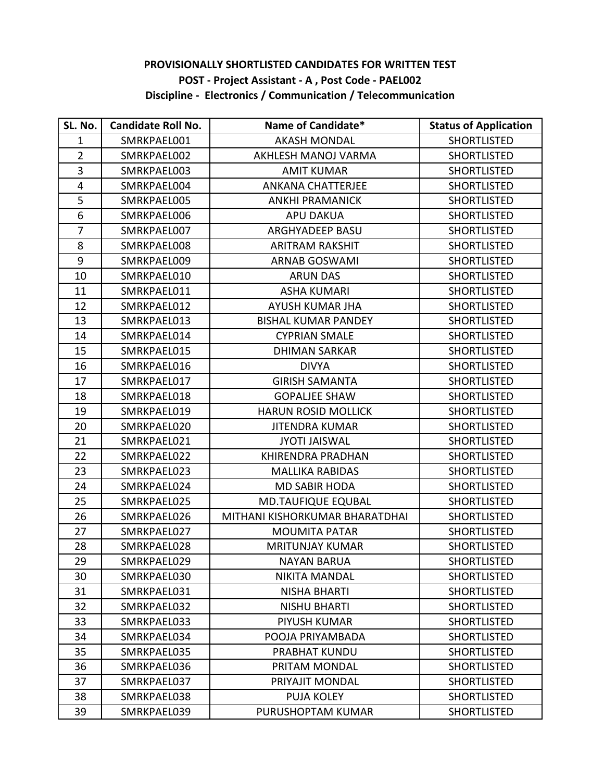## **PROVISIONALLY SHORTLISTED CANDIDATES FOR WRITTEN TEST POST - Project Assistant - A , Post Code - PAEL002 Discipline - Electronics / Communication / Telecommunication**

| SL. No.          | <b>Candidate Roll No.</b> | Name of Candidate*             | <b>Status of Application</b> |
|------------------|---------------------------|--------------------------------|------------------------------|
| $\mathbf{1}$     | SMRKPAEL001               | <b>AKASH MONDAL</b>            | <b>SHORTLISTED</b>           |
| $\overline{2}$   | SMRKPAEL002               | AKHLESH MANOJ VARMA            | <b>SHORTLISTED</b>           |
| 3                | SMRKPAEL003               | <b>AMIT KUMAR</b>              | <b>SHORTLISTED</b>           |
| 4                | SMRKPAEL004               | <b>ANKANA CHATTERJEE</b>       | <b>SHORTLISTED</b>           |
| 5                | SMRKPAEL005               | <b>ANKHI PRAMANICK</b>         | <b>SHORTLISTED</b>           |
| $\boldsymbol{6}$ | SMRKPAEL006               | <b>APU DAKUA</b>               | <b>SHORTLISTED</b>           |
| $\overline{7}$   | SMRKPAEL007               | ARGHYADEEP BASU                | <b>SHORTLISTED</b>           |
| 8                | SMRKPAEL008               | <b>ARITRAM RAKSHIT</b>         | <b>SHORTLISTED</b>           |
| $\boldsymbol{9}$ | SMRKPAEL009               | <b>ARNAB GOSWAMI</b>           | <b>SHORTLISTED</b>           |
| 10               | SMRKPAEL010               | <b>ARUN DAS</b>                | <b>SHORTLISTED</b>           |
| 11               | SMRKPAEL011               | <b>ASHA KUMARI</b>             | <b>SHORTLISTED</b>           |
| 12               | SMRKPAEL012               | AYUSH KUMAR JHA                | <b>SHORTLISTED</b>           |
| 13               | SMRKPAEL013               | <b>BISHAL KUMAR PANDEY</b>     | <b>SHORTLISTED</b>           |
| 14               | SMRKPAEL014               | <b>CYPRIAN SMALE</b>           | <b>SHORTLISTED</b>           |
| 15               | SMRKPAEL015               | <b>DHIMAN SARKAR</b>           | <b>SHORTLISTED</b>           |
| 16               | SMRKPAEL016               | <b>DIVYA</b>                   | <b>SHORTLISTED</b>           |
| 17               | SMRKPAEL017               | <b>GIRISH SAMANTA</b>          | <b>SHORTLISTED</b>           |
| 18               | SMRKPAEL018               | <b>GOPALIEE SHAW</b>           | <b>SHORTLISTED</b>           |
| 19               | SMRKPAEL019               | <b>HARUN ROSID MOLLICK</b>     | <b>SHORTLISTED</b>           |
| 20               | SMRKPAEL020               | <b>JITENDRA KUMAR</b>          | <b>SHORTLISTED</b>           |
| 21               | SMRKPAEL021               | <b>JYOTI JAISWAL</b>           | <b>SHORTLISTED</b>           |
| 22               | SMRKPAEL022               | <b>KHIRENDRA PRADHAN</b>       | <b>SHORTLISTED</b>           |
| 23               | SMRKPAEL023               | <b>MALLIKA RABIDAS</b>         | <b>SHORTLISTED</b>           |
| 24               | SMRKPAEL024               | <b>MD SABIR HODA</b>           | <b>SHORTLISTED</b>           |
| 25               | SMRKPAEL025               | <b>MD.TAUFIQUE EQUBAL</b>      | <b>SHORTLISTED</b>           |
| 26               | SMRKPAEL026               | MITHANI KISHORKUMAR BHARATDHAI | <b>SHORTLISTED</b>           |
| 27               | SMRKPAEL027               | <b>MOUMITA PATAR</b>           | <b>SHORTLISTED</b>           |
| 28               | SMRKPAEL028               | <b>MRITUNJAY KUMAR</b>         | <b>SHORTLISTED</b>           |
| 29               | SMRKPAEL029               | <b>NAYAN BARUA</b>             | <b>SHORTLISTED</b>           |
| 30               | SMRKPAEL030               | <b>NIKITA MANDAL</b>           | <b>SHORTLISTED</b>           |
| 31               | SMRKPAEL031               | <b>NISHA BHARTI</b>            | <b>SHORTLISTED</b>           |
| 32               | SMRKPAEL032               | <b>NISHU BHARTI</b>            | <b>SHORTLISTED</b>           |
| 33               | SMRKPAEL033               | <b>PIYUSH KUMAR</b>            | <b>SHORTLISTED</b>           |
| 34               | SMRKPAEL034               | POOJA PRIYAMBADA               | <b>SHORTLISTED</b>           |
| 35               | SMRKPAEL035               | <b>PRABHAT KUNDU</b>           | <b>SHORTLISTED</b>           |
| 36               | SMRKPAEL036               | PRITAM MONDAL                  | <b>SHORTLISTED</b>           |
| 37               | SMRKPAEL037               | PRIYAJIT MONDAL                | <b>SHORTLISTED</b>           |
| 38               | SMRKPAEL038               | <b>PUJA KOLEY</b>              | <b>SHORTLISTED</b>           |
| 39               | SMRKPAEL039               | PURUSHOPTAM KUMAR              | <b>SHORTLISTED</b>           |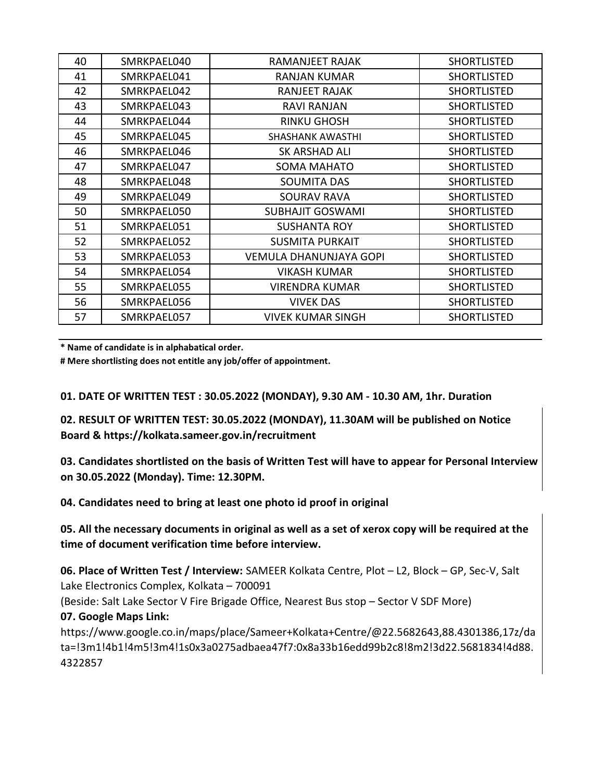| 40 | SMRKPAEL040 | <b>RAMANJEET RAJAK</b>        | <b>SHORTLISTED</b> |
|----|-------------|-------------------------------|--------------------|
| 41 | SMRKPAEL041 | <b>RANJAN KUMAR</b>           | <b>SHORTLISTED</b> |
| 42 | SMRKPAEL042 | <b>RANJEET RAJAK</b>          | <b>SHORTLISTED</b> |
| 43 | SMRKPAEL043 | <b>RAVI RANJAN</b>            | <b>SHORTLISTED</b> |
| 44 | SMRKPAEL044 | <b>RINKU GHOSH</b>            | <b>SHORTLISTED</b> |
| 45 | SMRKPAEL045 | <b>SHASHANK AWASTHI</b>       | <b>SHORTLISTED</b> |
| 46 | SMRKPAEL046 | SK ARSHAD ALI                 | <b>SHORTLISTED</b> |
| 47 | SMRKPAEL047 | <b>SOMA MAHATO</b>            | <b>SHORTLISTED</b> |
| 48 | SMRKPAEL048 | <b>SOUMITA DAS</b>            | <b>SHORTLISTED</b> |
| 49 | SMRKPAEL049 | <b>SOURAV RAVA</b>            | <b>SHORTLISTED</b> |
| 50 | SMRKPAEL050 | <b>SUBHAJIT GOSWAMI</b>       | <b>SHORTLISTED</b> |
| 51 | SMRKPAEL051 | <b>SUSHANTA ROY</b>           | <b>SHORTLISTED</b> |
| 52 | SMRKPAEL052 | <b>SUSMITA PURKAIT</b>        | <b>SHORTLISTED</b> |
| 53 | SMRKPAEL053 | <b>VEMULA DHANUNJAYA GOPI</b> | <b>SHORTLISTED</b> |
| 54 | SMRKPAEL054 | <b>VIKASH KUMAR</b>           | <b>SHORTLISTED</b> |
| 55 | SMRKPAEL055 | <b>VIRENDRA KUMAR</b>         | <b>SHORTLISTED</b> |
| 56 | SMRKPAEL056 | <b>VIVEK DAS</b>              | <b>SHORTLISTED</b> |
| 57 | SMRKPAEL057 | <b>VIVEK KUMAR SINGH</b>      | <b>SHORTLISTED</b> |

**\* Name of candidate is in alphabatical order.**

**# Mere shortlisting does not entitle any job/offer of appointment.**

**01. DATE OF WRITTEN TEST : 30.05.2022 (MONDAY), 9.30 AM - 10.30 AM, 1hr. Duration**

**02. RESULT OF WRITTEN TEST: 30.05.2022 (MONDAY), 11.30AM will be published on Notice Board & https://kolkata.sameer.gov.in/recruitment**

**03. Candidates shortlisted on the basis of Written Test will have to appear for Personal Interview on 30.05.2022 (Monday). Time: 12.30PM.**

**04. Candidates need to bring at least one photo id proof in original** 

**05. All the necessary documents in original as well as a set of xerox copy will be required at the time of document verification time before interview.**

**06. Place of Written Test / Interview:** SAMEER Kolkata Centre, Plot – L2, Block – GP, Sec-V, Salt Lake Electronics Complex, Kolkata – 700091

(Beside: Salt Lake Sector V Fire Brigade Office, Nearest Bus stop – Sector V SDF More) **07. Google Maps Link:** 

https://www.google.co.in/maps/place/Sameer+Kolkata+Centre/@22.5682643,88.4301386,17z/da ta=!3m1!4b1!4m5!3m4!1s0x3a0275adbaea47f7:0x8a33b16edd99b2c8!8m2!3d22.5681834!4d88. 4322857